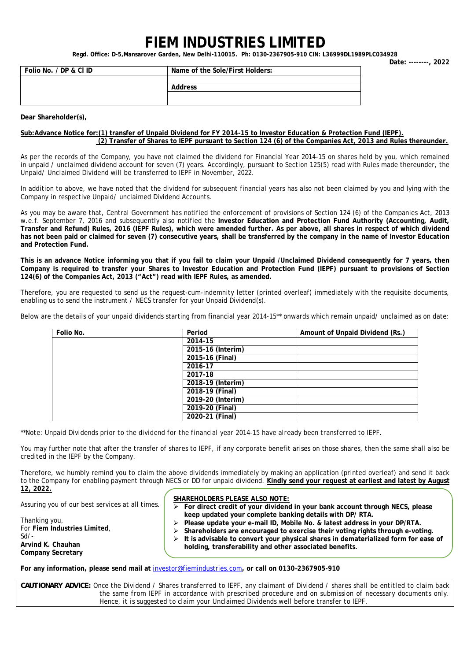## **FIEM INDUSTRIES LIMITED**

**Regd. Office: D-5,Mansarover Garden, New Delhi-110015. Ph: 0130-2367905-910 CIN: L36999DL1989PLC034928 Date: --------, 2022** 

| Folio No. / DP & CI ID | Name of the Sole/First Holders: |  |
|------------------------|---------------------------------|--|
|                        |                                 |  |
|                        | Address                         |  |
|                        |                                 |  |
|                        |                                 |  |

**Dear Shareholder(s),** 

## **Sub:Advance Notice for:(1) transfer of Unpaid Dividend for FY 2014-15 to Investor Education & Protection Fund (IEPF). (2) Transfer of Shares to IEPF pursuant to Section 124 (6) of the Companies Act, 2013 and Rules thereunder.**

As per the records of the Company, you have not claimed the dividend for Financial Year 2014-15 on shares held by you, which remained in unpaid / unclaimed dividend account for seven (7) years. Accordingly, pursuant to Section 125(5) read with Rules made thereunder, the Unpaid/ Unclaimed Dividend will be transferred to IEPF in November, 2022.

In addition to above, we have noted that the dividend for subsequent financial years has also not been claimed by you and lying with the Company in respective Unpaid/ unclaimed Dividend Accounts.

As you may be aware that, Central Government has notified the enforcement of provisions of Section 124 (6) of the Companies Act, 2013 w.e.f. September 7, 2016 and subsequently also notified the **Investor Education and Protection Fund Authority (Accounting, Audit, Transfer and Refund) Rules, 2016 (IEPF Rules), which were amended further. As per above, all shares in respect of which dividend has not been paid or claimed for seven (7) consecutive years, shall be transferred by the company in the name of Investor Education and Protection Fund.** 

**This is an advance Notice informing you that if you fail to claim your Unpaid /Unclaimed Dividend consequently for 7 years, then Company is required to transfer your Shares to Investor Education and Protection Fund (IEPF) pursuant to provisions of Section 124(6) of the Companies Act, 2013 ("Act") read with IEPF Rules, as amended.** 

Therefore, you are requested to send us the request-cum-indemnity letter (printed overleaf) immediately with the requisite documents, enabling us to send the instrument / NECS transfer for your Unpaid Dividend(s).

Below are the details of your unpaid dividends starting from financial year 2014-15\*\* onwards which remain unpaid/ unclaimed as on date:

| Folio No. | Period            | Amount of Unpaid Dividend (Rs.) |
|-----------|-------------------|---------------------------------|
|           | 2014-15           |                                 |
|           | 2015-16 (Interim) |                                 |
|           | 2015-16 (Final)   |                                 |
|           | 2016-17           |                                 |
|           | 2017-18           |                                 |
|           | 2018-19 (Interim) |                                 |
|           | 2018-19 (Final)   |                                 |
|           | 2019-20 (Interim) |                                 |
|           | 2019-20 (Final)   |                                 |
|           | 2020-21 (Final)   |                                 |

*\*\*Note: Unpaid Dividends prior to the dividend for the financial year 2014-15 have already been transferred to IEPF.* 

You may further note that after the transfer of shares to IEPF, if any corporate benefit arises on those shares, then the same shall also be credited in the IEPF by the Company.

Therefore, we humbly remind you to claim the above dividends immediately by making an application (printed overleaf) and send it back to the Company for enabling payment through NECS or DD for unpaid dividend. **Kindly send your request at earliest and latest by August 12, 2022.** 

Assuring you of our best services at all times.

Thanking you,

**Arvind K. Chauhan** 

Sd/-

For **Fiem Industries Limited**,

**SHAREHOLDERS PLEASE ALSO NOTE:**

¾ **For direct credit of your dividend in your bank account through NECS, please keep updated your complete banking details with DP/ RTA.** 

¾ **Please update your e-mail ID, Mobile No. & latest address in your DP/RTA.** 

Shareholders are encouraged to exercise their voting rights through e-voting.

¾ **It is advisable to convert your physical shares in dematerialized form for ease of holding, transferability and other associated benefits.** 

**Company Secretary** 

**For any information, please send mail at** investor@fiemindustries.com**, or call on 0130–2367905-910** 

*CAUTIONARY ADVICE: Once the Dividend / Shares transferred to IEPF, any claimant of Dividend / shares shall be entitled to claim back the same from IEPF in accordance with prescribed procedure and on submission of necessary documents only. Hence, it is suggested to claim your Unclaimed Dividends well before transfer to IEPF.*